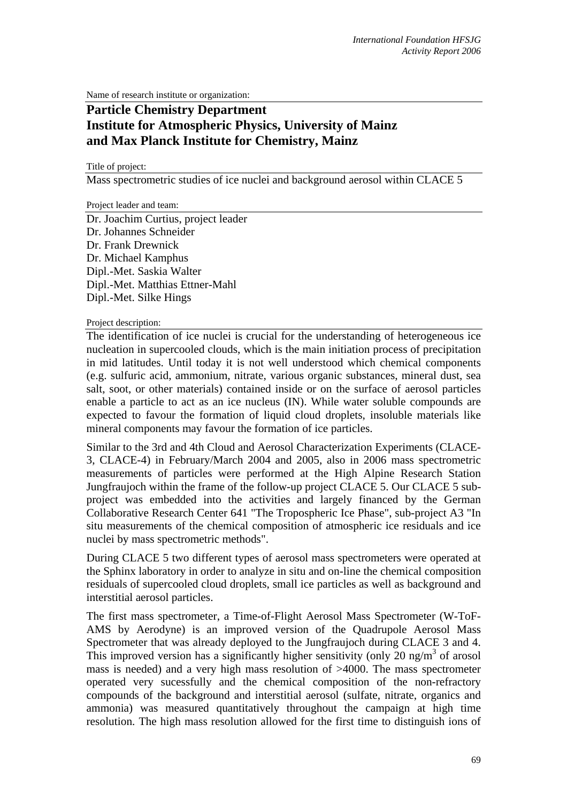Name of research institute or organization:

## **Particle Chemistry Department Institute for Atmospheric Physics, University of Mainz and Max Planck Institute for Chemistry, Mainz**

Title of project:

Mass spectrometric studies of ice nuclei and background aerosol within CLACE 5

Project leader and team:

Dr. Joachim Curtius, project leader Dr. Johannes Schneider Dr. Frank Drewnick Dr. Michael Kamphus Dipl.-Met. Saskia Walter Dipl.-Met. Matthias Ettner-Mahl Dipl.-Met. Silke Hings

Project description:

The identification of ice nuclei is crucial for the understanding of heterogeneous ice nucleation in supercooled clouds, which is the main initiation process of precipitation in mid latitudes. Until today it is not well understood which chemical components (e.g. sulfuric acid, ammonium, nitrate, various organic substances, mineral dust, sea salt, soot, or other materials) contained inside or on the surface of aerosol particles enable a particle to act as an ice nucleus (IN). While water soluble compounds are expected to favour the formation of liquid cloud droplets, insoluble materials like mineral components may favour the formation of ice particles.

Similar to the 3rd and 4th Cloud and Aerosol Characterization Experiments (CLACE-3, CLACE-4) in February/March 2004 and 2005, also in 2006 mass spectrometric measurements of particles were performed at the High Alpine Research Station Jungfraujoch within the frame of the follow-up project CLACE 5. Our CLACE 5 subproject was embedded into the activities and largely financed by the German Collaborative Research Center 641 "The Tropospheric Ice Phase", sub-project A3 "In situ measurements of the chemical composition of atmospheric ice residuals and ice nuclei by mass spectrometric methods".

During CLACE 5 two different types of aerosol mass spectrometers were operated at the Sphinx laboratory in order to analyze in situ and on-line the chemical composition residuals of supercooled cloud droplets, small ice particles as well as background and interstitial aerosol particles.

The first mass spectrometer, a Time-of-Flight Aerosol Mass Spectrometer (W-ToF-AMS by Aerodyne) is an improved version of the Quadrupole Aerosol Mass Spectrometer that was already deployed to the Jungfraujoch during CLACE 3 and 4. This improved version has a significantly higher sensitivity (only  $20 \text{ ng/m}^3$  of arosol mass is needed) and a very high mass resolution of >4000. The mass spectrometer operated very sucessfully and the chemical composition of the non-refractory compounds of the background and interstitial aerosol (sulfate, nitrate, organics and ammonia) was measured quantitatively throughout the campaign at high time resolution. The high mass resolution allowed for the first time to distinguish ions of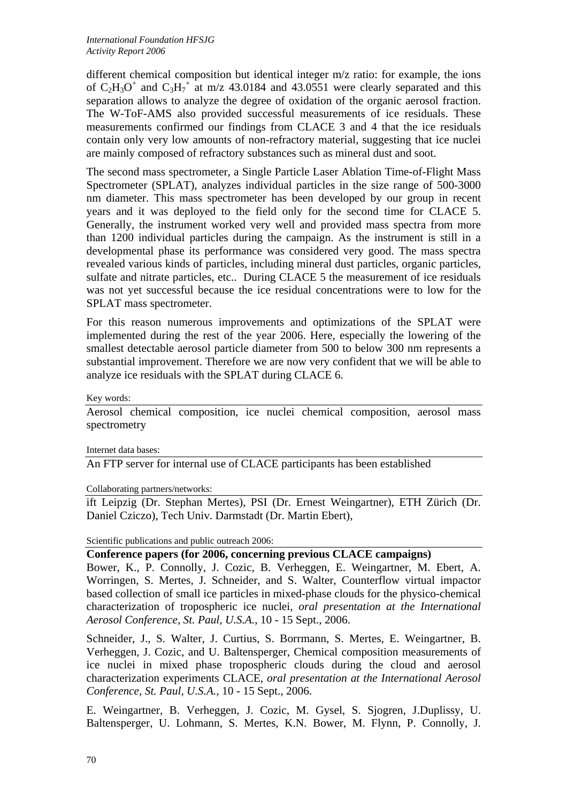different chemical composition but identical integer m/z ratio: for example, the ions of  $C_2H_3O^+$  and  $C_3H_7^+$  at m/z 43.0184 and 43.0551 were clearly separated and this separation allows to analyze the degree of oxidation of the organic aerosol fraction. The W-ToF-AMS also provided successful measurements of ice residuals. These measurements confirmed our findings from CLACE 3 and 4 that the ice residuals contain only very low amounts of non-refractory material, suggesting that ice nuclei are mainly composed of refractory substances such as mineral dust and soot.

The second mass spectrometer, a Single Particle Laser Ablation Time-of-Flight Mass Spectrometer (SPLAT), analyzes individual particles in the size range of 500-3000 nm diameter. This mass spectrometer has been developed by our group in recent years and it was deployed to the field only for the second time for CLACE 5. Generally, the instrument worked very well and provided mass spectra from more than 1200 individual particles during the campaign. As the instrument is still in a developmental phase its performance was considered very good. The mass spectra revealed various kinds of particles, including mineral dust particles, organic particles, sulfate and nitrate particles, etc.. During CLACE 5 the measurement of ice residuals was not yet successful because the ice residual concentrations were to low for the SPLAT mass spectrometer.

For this reason numerous improvements and optimizations of the SPLAT were implemented during the rest of the year 2006. Here, especially the lowering of the smallest detectable aerosol particle diameter from 500 to below 300 nm represents a substantial improvement. Therefore we are now very confident that we will be able to analyze ice residuals with the SPLAT during CLACE 6.

Key words:

Aerosol chemical composition, ice nuclei chemical composition, aerosol mass spectrometry

Internet data bases:

An FTP server for internal use of CLACE participants has been established

Collaborating partners/networks:

ift Leipzig (Dr. Stephan Mertes), PSI (Dr. Ernest Weingartner), ETH Zürich (Dr. Daniel Cziczo), Tech Univ. Darmstadt (Dr. Martin Ebert),

Scientific publications and public outreach 2006:

**Conference papers (for 2006, concerning previous CLACE campaigns)** 

Bower, K., P. Connolly, J. Cozic, B. Verheggen, E. Weingartner, M. Ebert, A. Worringen, S. Mertes, J. Schneider, and S. Walter, Counterflow virtual impactor based collection of small ice particles in mixed-phase clouds for the physico-chemical characterization of tropospheric ice nuclei, *oral presentation at the International Aerosol Conference, St. Paul, U.S.A.*, 10 - 15 Sept., 2006.

Schneider, J., S. Walter, J. Curtius, S. Borrmann, S. Mertes, E. Weingartner, B. Verheggen, J. Cozic, and U. Baltensperger, Chemical composition measurements of ice nuclei in mixed phase tropospheric clouds during the cloud and aerosol characterization experiments CLACE, *oral presentation at the International Aerosol Conference, St. Paul, U.S.A.*, 10 - 15 Sept., 2006.

E. Weingartner, B. Verheggen, J. Cozic, M. Gysel, S. Sjogren, J.Duplissy, U. Baltensperger, U. Lohmann, S. Mertes, K.N. Bower, M. Flynn, P. Connolly, J.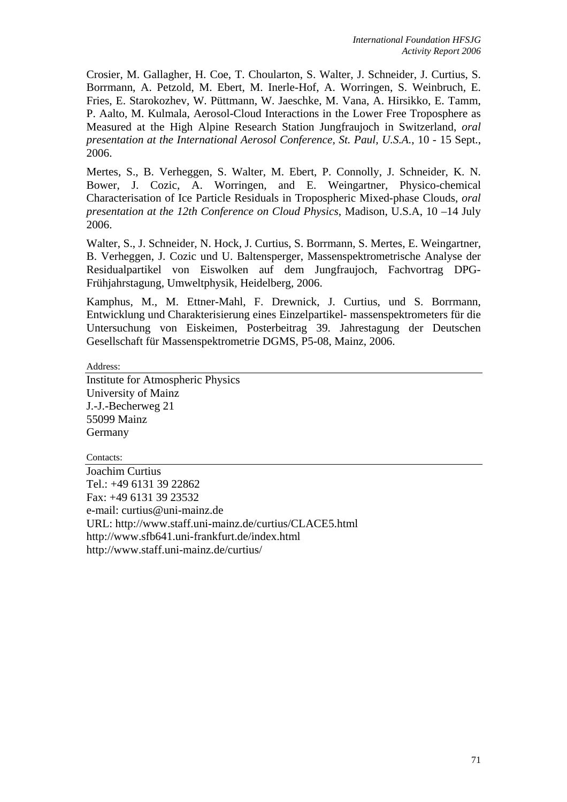Crosier, M. Gallagher, H. Coe, T. Choularton, S. Walter, J. Schneider, J. Curtius, S. Borrmann, A. Petzold, M. Ebert, M. Inerle-Hof, A. Worringen, S. Weinbruch, E. Fries, E. Starokozhev, W. Püttmann, W. Jaeschke, M. Vana, A. Hirsikko, E. Tamm, P. Aalto, M. Kulmala, Aerosol-Cloud Interactions in the Lower Free Troposphere as Measured at the High Alpine Research Station Jungfraujoch in Switzerland, *oral presentation at the International Aerosol Conference, St. Paul, U.S.A.*, 10 - 15 Sept., 2006.

Mertes, S., B. Verheggen, S. Walter, M. Ebert, P. Connolly, J. Schneider, K. N. Bower, J. Cozic, A. Worringen, and E. Weingartner, Physico-chemical Characterisation of Ice Particle Residuals in Tropospheric Mixed-phase Clouds, *oral presentation at the 12th Conference on Cloud Physics*, Madison, U.S.A, 10 –14 July 2006.

Walter, S., J. Schneider, N. Hock, J. Curtius, S. Borrmann, S. Mertes, E. Weingartner, B. Verheggen, J. Cozic und U. Baltensperger, Massenspektrometrische Analyse der Residualpartikel von Eiswolken auf dem Jungfraujoch, Fachvortrag DPG-Frühjahrstagung, Umweltphysik, Heidelberg, 2006.

Kamphus, M., M. Ettner-Mahl, F. Drewnick, J. Curtius, und S. Borrmann, Entwicklung und Charakterisierung eines Einzelpartikel- massenspektrometers für die Untersuchung von Eiskeimen, Posterbeitrag 39. Jahrestagung der Deutschen Gesellschaft für Massenspektrometrie DGMS, P5-08, Mainz, 2006.

Address:

Institute for Atmospheric Physics University of Mainz J.-J.-Becherweg 21 55099 Mainz Germany

Contacts: Joachim Curtius Tel.: +49 6131 39 22862 Fax: +49 6131 39 23532 e-mail: curtius@uni-mainz.de URL: http://www.staff.uni-mainz.de/curtius/CLACE5.html http://www.sfb641.uni-frankfurt.de/index.html http://www.staff.uni-mainz.de/curtius/